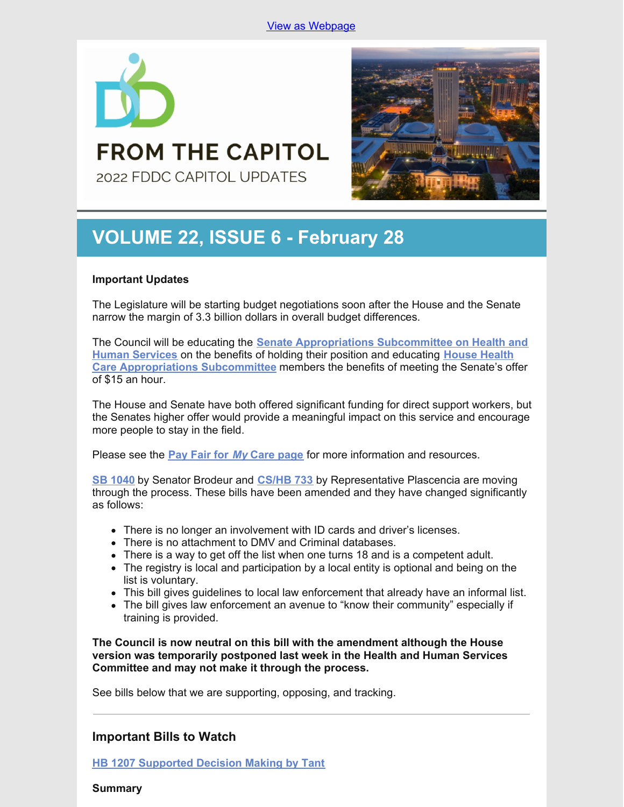

# **VOLUME 22, ISSUE 6 - February 28**

**FROM THE CAPITOL** 

2022 FDDC CAPITOL UPDATES

# **Important Updates**

The Legislature will be starting budget negotiations soon after the House and the Senate narrow the margin of 3.3 billion dollars in overall budget differences.

The Council will be educating the **Senate [Appropriations](https://www.flsenate.gov/Committees/Show/AHS/) Subcommittee on Health and Human Services** on the benefits of holding their position and educating **House Health Care [Appropriations](https://www.myfloridahouse.gov/Sections/Committees/committeesdetail.aspx?CommitteeId=3088) Subcommittee** members the benefits of meeting the Senate's offer of \$15 an hour.

The House and Senate have both offered significant funding for direct support workers, but the Senates higher offer would provide a meaningful impact on this service and encourage more people to stay in the field.

Please see the **Pay [Fair](http://www.fddc.org/pay-fair-for-my-care) for** *[My](http://www.fddc.org/pay-fair-for-my-care)* **Care [page](http://www.fddc.org/pay-fair-for-my-care)** for more information and resources.

**SB [1040](https://www.flsenate.gov/Session/Bill/2022/1040)** by Senator Brodeur and **[CS/HB](https://www.myfloridahouse.gov/Sections/Bills/billsdetail.aspx?BillId=75034) 733** by Representative Plascencia are moving through the process. These bills have been amended and they have changed significantly as follows:

- There is no longer an involvement with ID cards and driver's licenses.
- There is no attachment to DMV and Criminal databases.
- There is a way to get off the list when one turns 18 and is a competent adult.
- The registry is local and participation by a local entity is optional and being on the list is voluntary.
- This bill gives guidelines to local law enforcement that already have an informal list.
- The bill gives law enforcement an avenue to "know their community" especially if training is provided.

**The Council is now neutral on this bill with the amendment although the House version was temporarily postponed last week in the Health and Human Services Committee and may not make it through the process.**

See bills below that we are supporting, opposing, and tracking.

# **Important Bills to Watch**

**HB 1207 [Supported](https://www.myfloridahouse.gov/Sections/Bills/billsdetail.aspx?BillId=76061) Decision Making by Tant**

**Summary**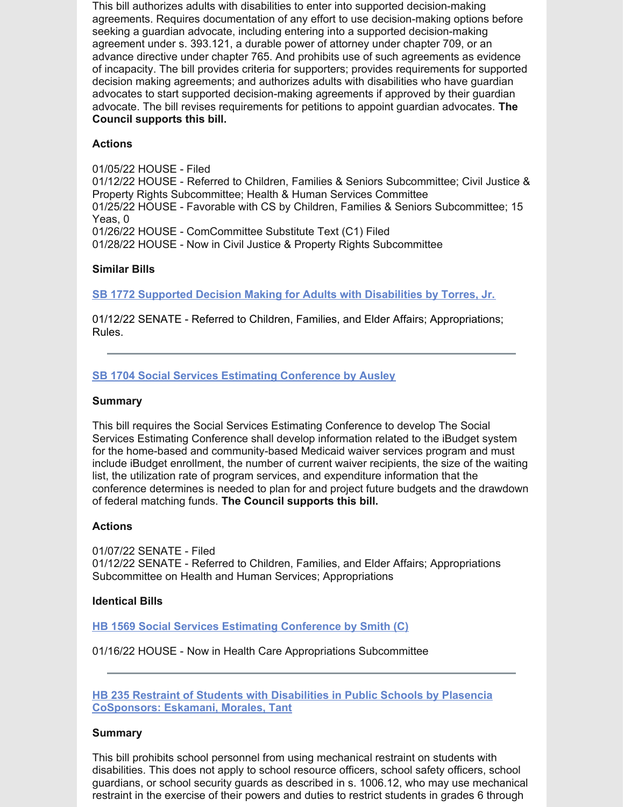This bill authorizes adults with disabilities to enter into supported decision-making agreements. Requires documentation of any effort to use decision-making options before seeking a guardian advocate, including entering into a supported decision-making agreement under s. 393.121, a durable power of attorney under chapter 709, or an advance directive under chapter 765. And prohibits use of such agreements as evidence of incapacity. The bill provides criteria for supporters; provides requirements for supported decision making agreements; and authorizes adults with disabilities who have guardian advocates to start supported decision-making agreements if approved by their guardian advocate. The bill revises requirements for petitions to appoint guardian advocates. **The Council supports this bill.**

## **Actions**

01/05/22 HOUSE - Filed 01/12/22 HOUSE - Referred to Children, Families & Seniors Subcommittee; Civil Justice & Property Rights Subcommittee; Health & Human Services Committee 01/25/22 HOUSE - Favorable with CS by Children, Families & Seniors Subcommittee; 15 Yeas, 0 01/26/22 HOUSE - ComCommittee Substitute Text (C1) Filed 01/28/22 HOUSE - Now in Civil Justice & Property Rights Subcommittee

# **Similar Bills**

**SB 1772 Supported Decision Making for Adults with [Disabilities](https://www.myfloridahouse.gov/Sections/Bills/billsdetail.aspx?BillId=76242&) by Torres, Jr.**

01/12/22 SENATE - Referred to Children, Families, and Elder Affairs; Appropriations; Rules.

## **SB 1704 Social Services Estimating [Conference](https://www.myfloridahouse.gov/Sections/Bills/billsdetail.aspx?BillId=76170) by Ausley**

#### **Summary**

This bill requires the Social Services Estimating Conference to develop The Social Services Estimating Conference shall develop information related to the iBudget system for the home-based and community-based Medicaid waiver services program and must include iBudget enrollment, the number of current waiver recipients, the size of the waiting list, the utilization rate of program services, and expenditure information that the conference determines is needed to plan for and project future budgets and the drawdown of federal matching funds. **The Council supports this bill.**

#### **Actions**

01/07/22 SENATE - Filed 01/12/22 SENATE - Referred to Children, Families, and Elder Affairs; Appropriations Subcommittee on Health and Human Services; Appropriations

#### **Identical Bills**

**HB 1569 Social Services Estimating [Conference](https://www.myfloridahouse.gov/Sections/Bills/billsdetail.aspx?BillId=76559&) by Smith (C)**

01/16/22 HOUSE - Now in Health Care Appropriations Subcommittee

**HB 235 Restraint of Students with Disabilities in Public Schools by Plasencia [CoSponsors:](https://www.myfloridahouse.gov/Sections/Bills/billsdetail.aspx?BillId=73355) Eskamani, Morales, Tant**

#### **Summary**

This bill prohibits school personnel from using mechanical restraint on students with disabilities. This does not apply to school resource officers, school safety officers, school guardians, or school security guards as described in s. 1006.12, who may use mechanical restraint in the exercise of their powers and duties to restrict students in grades 6 through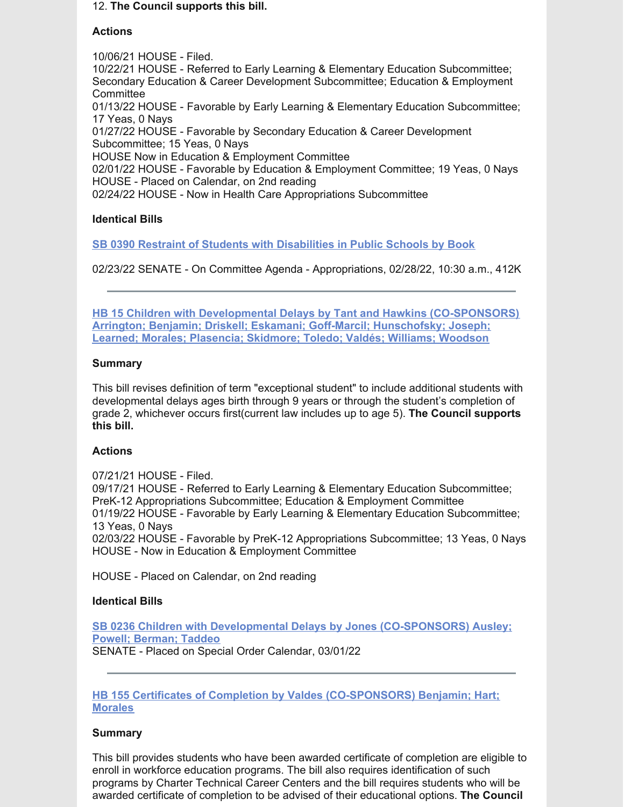#### 12. **The Council supports this bill.**

#### **Actions**

10/06/21 HOUSE - Filed. 10/22/21 HOUSE - Referred to Early Learning & Elementary Education Subcommittee; Secondary Education & Career Development Subcommittee; Education & Employment **Committee** 01/13/22 HOUSE - Favorable by Early Learning & Elementary Education Subcommittee; 17 Yeas, 0 Nays 01/27/22 HOUSE - Favorable by Secondary Education & Career Development Subcommittee; 15 Yeas, 0 Nays HOUSE Now in Education & Employment Committee 02/01/22 HOUSE - Favorable by Education & Employment Committee; 19 Yeas, 0 Nays HOUSE - Placed on Calendar, on 2nd reading 02/24/22 HOUSE - Now in Health Care Appropriations Subcommittee

## **Identical Bills**

**SB 0390 Restraint of Students with [Disabilities](https://www.myfloridahouse.gov/Sections/Bills/billsdetail.aspx?BillId=73330&) in Public Schools by Book**

02/23/22 SENATE - On Committee Agenda - Appropriations, 02/28/22, 10:30 a.m., 412K

**HB 15 Children with Developmental Delays by Tant and Hawkins [\(CO-SPONSORS\)](https://www.myfloridahouse.gov/Sections/Bills/billsdetail.aspx?BillId=73025) Arrington; Benjamin; Driskell; Eskamani; Goff-Marcil; Hunschofsky; Joseph; Learned; Morales; Plasencia; Skidmore; Toledo; Valdés; Williams; Woodson**

## **Summary**

This bill revises definition of term "exceptional student" to include additional students with developmental delays ages birth through 9 years or through the student's completion of grade 2, whichever occurs first(current law includes up to age 5). **The Council supports this bill.**

#### **Actions**

07/21/21 HOUSE - Filed. 09/17/21 HOUSE - Referred to Early Learning & Elementary Education Subcommittee; PreK-12 Appropriations Subcommittee; Education & Employment Committee 01/19/22 HOUSE - Favorable by Early Learning & Elementary Education Subcommittee; 13 Yeas, 0 Nays 02/03/22 HOUSE - Favorable by PreK-12 Appropriations Subcommittee; 13 Yeas, 0 Nays HOUSE - Now in Education & Employment Committee

HOUSE - Placed on Calendar, on 2nd reading

#### **Identical Bills**

**SB 0236 Children with Developmental Delays by Jones [\(CO-SPONSORS\)](https://www.myfloridahouse.gov/Sections/Bills/billsdetail.aspx?BillId=73164&) Ausley; Powell; Berman; Taddeo** SENATE - Placed on Special Order Calendar, 03/01/22

## **HB 155 Certificates of Completion by Valdes [\(CO-SPONSORS\)](https://www.myfloridahouse.gov/Sections/Bills/billsdetail.aspx?BillId=73206) Benjamin; Hart; Morales**

#### **Summary**

This bill provides students who have been awarded certificate of completion are eligible to enroll in workforce education programs. The bill also requires identification of such programs by Charter Technical Career Centers and the bill requires students who will be awarded certificate of completion to be advised of their educational options. **The Council**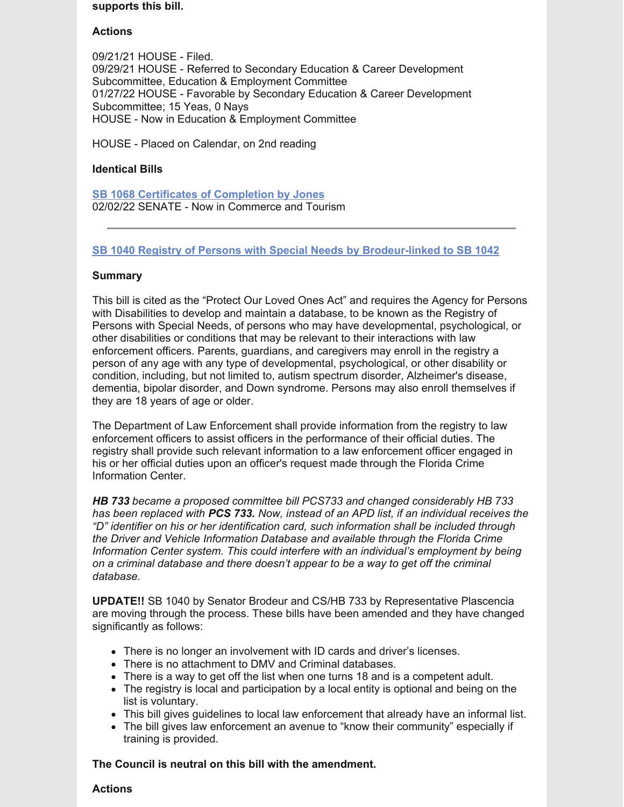#### **supports this bill.**

## **Actions**

09/21/21 HOUSE - Filed. 09/29/21 HOUSE - Referred to Secondary Education & Career Development Subcommittee, Education & Employment Committee 01/27/22 HOUSE - Favorable by Secondary Education & Career Development Subcommittee; 15 Yeas, 0 Nays HOUSE - Now in Education & Employment Committee

HOUSE - Placed on Calendar, on 2nd reading

#### **Identical Bills**

**SB 1068 Certificates of [Completion](https://www.myfloridahouse.gov/Sections/Bills/billsdetail.aspx?BillId=75103&) by Jones** 02/02/22 SENATE - Now in Commerce and Tourism

## **SB 1040 Registry of Persons with Special Needs by [Brodeur-linked](https://www.myfloridahouse.gov/Sections/Bills/billsdetail.aspx?BillId=74991) to SB 1042**

#### **Summary**

This bill is cited as the "Protect Our Loved Ones Act" and requires the Agency for Persons with Disabilities to develop and maintain a database, to be known as the Registry of Persons with Special Needs, of persons who may have developmental, psychological, or other disabilities or conditions that may be relevant to their interactions with law enforcement officers. Parents, guardians, and caregivers may enroll in the registry a person of any age with any type of developmental, psychological, or other disability or condition, including, but not limited to, autism spectrum disorder, Alzheimer's disease, dementia, bipolar disorder, and Down syndrome. Persons may also enroll themselves if they are 18 years of age or older.

The Department of Law Enforcement shall provide information from the registry to law enforcement officers to assist officers in the performance of their official duties. The registry shall provide such relevant information to a law enforcement officer engaged in his or her official duties upon an officer's request made through the Florida Crime Information Center.

*HB 733 became a proposed committee bill PCS733 and changed considerably HB 733 has been replaced with PCS 733. Now, instead of an APD list, if an individual receives the "D" identifier on his or her identification card, such information shall be included through the Driver and Vehicle Information Database and available through the Florida Crime Information Center system. This could interfere with an individual's employment by being on a criminal database and there doesn't appear to be a way to get off the criminal database.*

**UPDATE!!** SB 1040 by Senator Brodeur and CS/HB 733 by Representative Plascencia are moving through the process. These bills have been amended and they have changed significantly as follows:

- There is no longer an involvement with ID cards and driver's licenses.
- There is no attachment to DMV and Criminal databases.
- There is a way to get off the list when one turns 18 and is a competent adult.
- The registry is local and participation by a local entity is optional and being on the list is voluntary.
- This bill gives guidelines to local law enforcement that already have an informal list.
- The bill gives law enforcement an avenue to "know their community" especially if training is provided.

**The Council is neutral on this bill with the amendment.**

#### **Actions**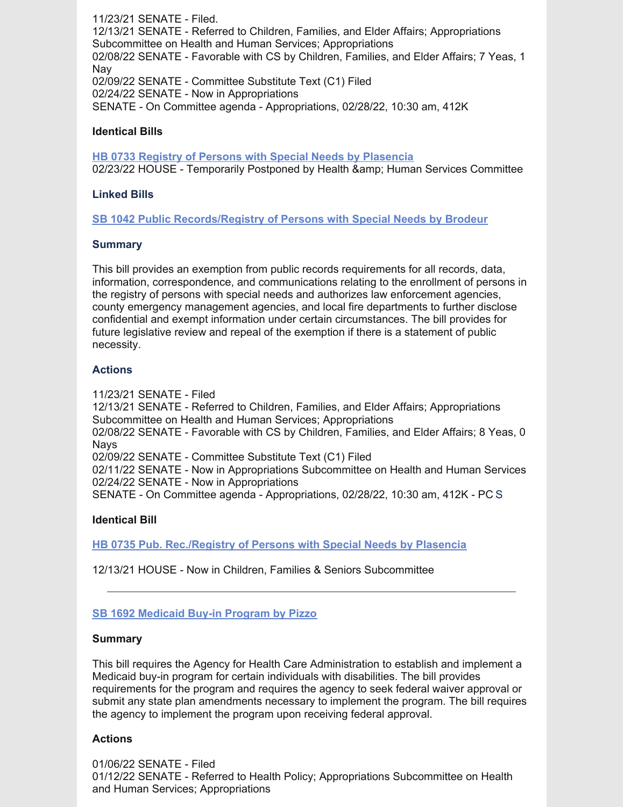11/23/21 SENATE - Filed. 12/13/21 SENATE - Referred to Children, Families, and Elder Affairs; Appropriations Subcommittee on Health and Human Services; Appropriations 02/08/22 SENATE - Favorable with CS by Children, Families, and Elder Affairs; 7 Yeas, 1 Nay 02/09/22 SENATE - Committee Substitute Text (C1) Filed 02/24/22 SENATE - Now in Appropriations SENATE - On Committee agenda - Appropriations, 02/28/22, 10:30 am, 412K

## **Identical Bills**

**HB 0733 Registry of Persons with Special Needs by [Plasencia](https://www.myfloridahouse.gov/Sections/Bills/billsdetail.aspx?BillId=75034&)** 02/23/22 HOUSE - Temporarily Postponed by Health & amp: Human Services Committee

## **Linked Bills**

**SB 1042 Public [Records/Registry](https://www.myfloridahouse.gov/Sections/Bills/billsdetail.aspx?BillId=74990&) of Persons with Special Needs by Brodeur**

#### **Summary**

This bill provides an exemption from public records requirements for all records, data, information, correspondence, and communications relating to the enrollment of persons in the registry of persons with special needs and authorizes law enforcement agencies, county emergency management agencies, and local fire departments to further disclose confidential and exempt information under certain circumstances. The bill provides for future legislative review and repeal of the exemption if there is a statement of public necessity.

## **Actions**

11/23/21 SENATE - Filed

12/13/21 SENATE - Referred to Children, Families, and Elder Affairs; Appropriations Subcommittee on Health and Human Services; Appropriations 02/08/22 SENATE - Favorable with CS by Children, Families, and Elder Affairs; 8 Yeas, 0 **Navs** 02/09/22 SENATE - Committee Substitute Text (C1) Filed 02/11/22 SENATE - Now in Appropriations Subcommittee on Health and Human Services 02/24/22 SENATE - Now in Appropriations

SENATE - On Committee agenda - Appropriations, 02/28/22, 10:30 am, 412K - PC S

# **Identical Bill**

**HB 0735 Pub. [Rec./Registry](https://www.myfloridahouse.gov/Sections/Bills/billsdetail.aspx?BillId=75035&) of Persons with Special Needs by Plasencia**

12/13/21 HOUSE - Now in Children, Families & Seniors Subcommittee

# **SB 1692 [Medicaid](https://www.myfloridahouse.gov/Sections/Bills/billsdetail.aspx?BillId=76163) Buy-in Program by Pizzo**

#### **Summary**

This bill requires the Agency for Health Care Administration to establish and implement a Medicaid buy-in program for certain individuals with disabilities. The bill provides requirements for the program and requires the agency to seek federal waiver approval or submit any state plan amendments necessary to implement the program. The bill requires the agency to implement the program upon receiving federal approval.

# **Actions**

01/06/22 SENATE - Filed 01/12/22 SENATE - Referred to Health Policy; Appropriations Subcommittee on Health and Human Services; Appropriations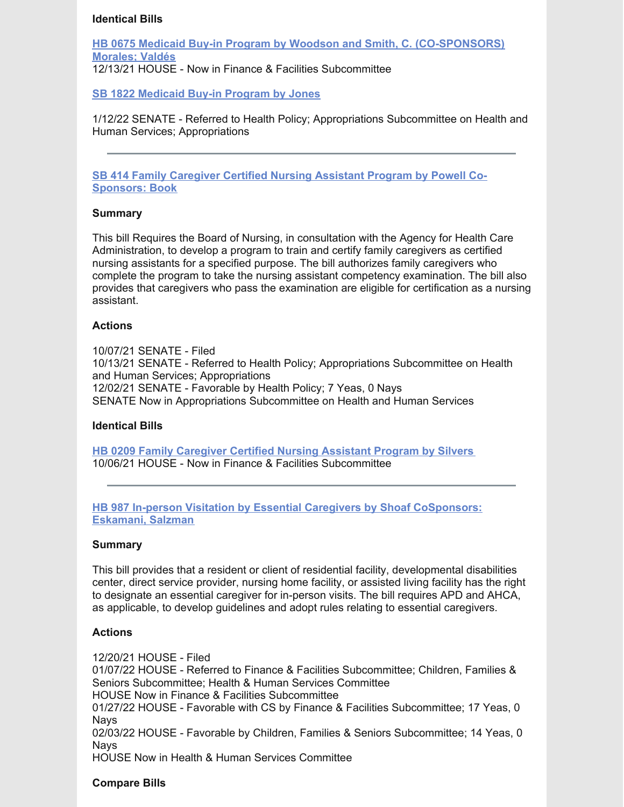#### **Identical Bills**

**HB 0675 Medicaid Buy-in Program by Woodson and Smith, C. [\(CO-SPONSORS\)](https://www.myfloridahouse.gov/Sections/Bills/billsdetail.aspx?BillId=74798&) Morales; Valdés** 12/13/21 HOUSE - Now in Finance & Facilities Subcommittee

**SB 1822 [Medicaid](https://www.myfloridahouse.gov/Sections/Bills/billsdetail.aspx?BillId=76281&) Buy-in Program by Jones**

1/12/22 SENATE - Referred to Health Policy; Appropriations Subcommittee on Health and Human Services; Appropriations

**SB 414 Family [Caregiver](https://www.myfloridahouse.gov/Sections/Bills/billsdetail.aspx?BillId=73361&) Certified Nursing Assistant Program by Powell Co-Sponsors: Book**

#### **Summary**

This bill Requires the Board of Nursing, in consultation with the Agency for Health Care Administration, to develop a program to train and certify family caregivers as certified nursing assistants for a specified purpose. The bill authorizes family caregivers who complete the program to take the nursing assistant competency examination. The bill also provides that caregivers who pass the examination are eligible for certification as a nursing assistant.

#### **Actions**

10/07/21 SENATE - Filed 10/13/21 SENATE - Referred to Health Policy; Appropriations Subcommittee on Health and Human Services; Appropriations 12/02/21 SENATE - Favorable by Health Policy; 7 Yeas, 0 Nays SENATE Now in Appropriations Subcommittee on Health and Human Services

#### **Identical Bills**

**HB 0209 Family [Caregiver](https://www.myfloridahouse.gov/Sections/Bills/billsdetail.aspx?BillId=73306) Certified Nursing Assistant Program by Silvers** 10/06/21 HOUSE - Now in Finance & Facilities Subcommittee

**HB 987 In-person Visitation by Essential Caregivers by Shoaf [CoSponsors:](https://www.myfloridahouse.gov/Sections/Bills/billsdetail.aspx?BillId=75784) Eskamani, Salzman**

#### **Summary**

This bill provides that a resident or client of residential facility, developmental disabilities center, direct service provider, nursing home facility, or assisted living facility has the right to designate an essential caregiver for in-person visits. The bill requires APD and AHCA, as applicable, to develop guidelines and adopt rules relating to essential caregivers.

#### **Actions**

12/20/21 HOUSE - Filed 01/07/22 HOUSE - Referred to Finance & Facilities Subcommittee; Children, Families & Seniors Subcommittee; Health & Human Services Committee HOUSE Now in Finance & Facilities Subcommittee 01/27/22 HOUSE - Favorable with CS by Finance & Facilities Subcommittee; 17 Yeas, 0 **Navs** 02/03/22 HOUSE - Favorable by Children, Families & Seniors Subcommittee; 14 Yeas, 0 **Navs** HOUSE Now in Health & Human Services Committee

#### **Compare Bills**